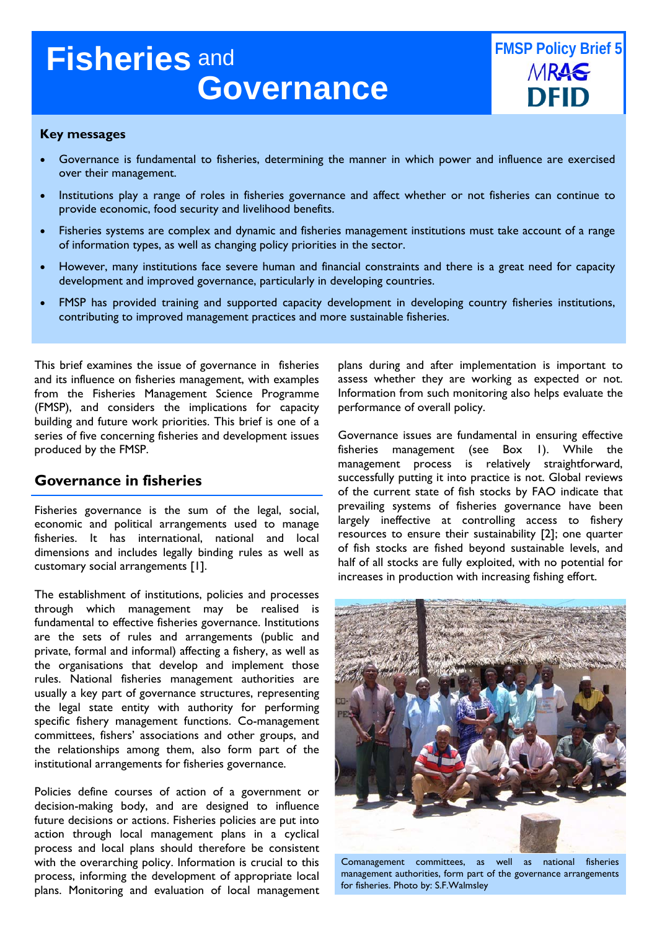# **FISHERIES** and **FMSP Policy Brief 5 Governance**



# **Key messages**

- Governance is fundamental to fisheries, determining the manner in which power and influence are exercised over their management.
- Institutions play a range of roles in fisheries governance and affect whether or not fisheries can continue to provide economic, food security and livelihood benefits.
- Fisheries systems are complex and dynamic and fisheries management institutions must take account of a range of information types, as well as changing policy priorities in the sector.
- However, many institutions face severe human and financial constraints and there is a great need for capacity development and improved governance, particularly in developing countries.
- FMSP has provided training and supported capacity development in developing country fisheries institutions, contributing to improved management practices and more sustainable fisheries.

This brief examines the issue of governance in fisheries and its influence on fisheries management, with examples from the Fisheries Management Science Programme (FMSP), and considers the implications for capacity building and future work priorities. This brief is one of a series of five concerning fisheries and development issues produced by the FMSP.

# **Governance in fisheries**

Fisheries governance is the sum of the legal, social, economic and political arrangements used to manage fisheries. It has international, national and local dimensions and includes legally binding rules as well as customary social arrangements [1].

The establishment of institutions, policies and processes through which management may be realised is fundamental to effective fisheries governance. Institutions are the sets of rules and arrangements (public and private, formal and informal) affecting a fishery, as well as the organisations that develop and implement those rules. National fisheries management authorities are usually a key part of governance structures, representing the legal state entity with authority for performing specific fishery management functions. Co-management committees, fishers' associations and other groups, and the relationships among them, also form part of the institutional arrangements for fisheries governance.

Policies define courses of action of a government or decision-making body, and are designed to influence future decisions or actions. Fisheries policies are put into action through local management plans in a cyclical process and local plans should therefore be consistent with the overarching policy. Information is crucial to this process, informing the development of appropriate local plans. Monitoring and evaluation of local management plans during and after implementation is important to assess whether they are working as expected or not. Information from such monitoring also helps evaluate the performance of overall policy.

Governance issues are fundamental in ensuring effective fisheries management (see Box 1). While the management process is relatively straightforward, successfully putting it into practice is not. Global reviews of the current state of fish stocks by FAO indicate that prevailing systems of fisheries governance have been largely ineffective at controlling access to fishery resources to ensure their sustainability [2]; one quarter of fish stocks are fished beyond sustainable levels, and half of all stocks are fully exploited, with no potential for increases in production with increasing fishing effort.



Comanagement committees, as well as national fisheries management authorities, form part of the governance arrangements for fisheries. Photo by: S.F.Walmsley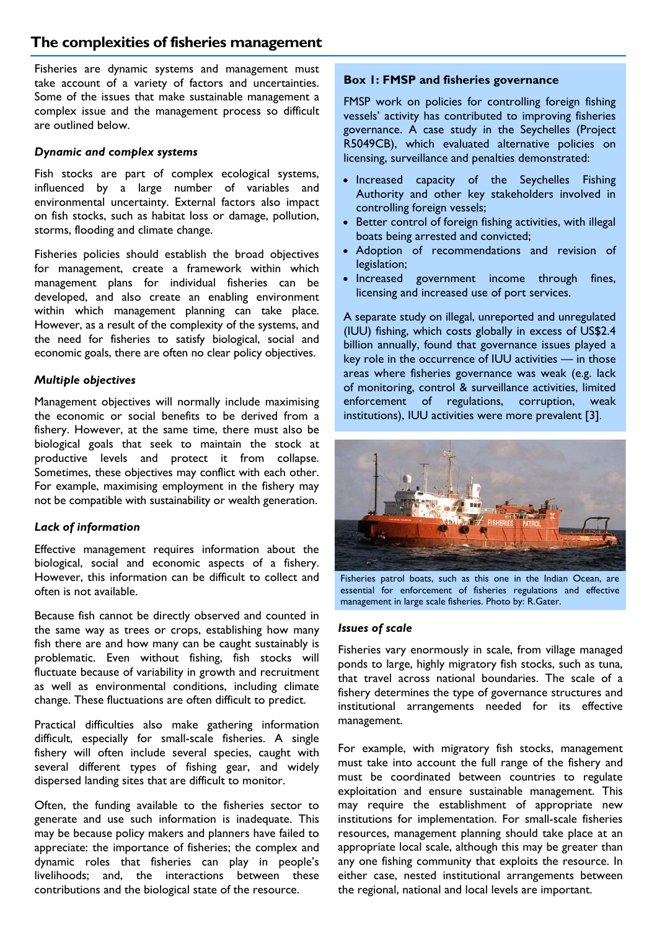# **The complexities of fisheries management**

Fisheries are dynamic systems and management must take account of a variety of factors and uncertainties. Some of the issues that make sustainable management a complex issue and the management process so difficult are outlined below.

#### *Dynamic and complex systems*

Fish stocks are part of complex ecological systems, influenced by a large number of variables and environmental uncertainty. External factors also impact on fish stocks, such as habitat loss or damage, pollution, storms, flooding and climate change.

Fisheries policies should establish the broad objectives for management, create a framework within which management plans for individual fisheries can be developed, and also create an enabling environment within which management planning can take place. However, as a result of the complexity of the systems, and the need for fisheries to satisfy biological, social and economic goals, there are often no clear policy objectives.

## *Multiple objectives*

Management objectives will normally include maximising the economic or social benefits to be derived from a fishery. However, at the same time, there must also be biological goals that seek to maintain the stock at productive levels and protect it from collapse. Sometimes, these objectives may conflict with each other. For example, maximising employment in the fishery may not be compatible with sustainability or wealth generation.

## *Lack of information*

Effective management requires information about the biological, social and economic aspects of a fishery. However, this information can be difficult to collect and often is not available.

Because fish cannot be directly observed and counted in the same way as trees or crops, establishing how many fish there are and how many can be caught sustainably is problematic. Even without fishing, fish stocks will fluctuate because of variability in growth and recruitment as well as environmental conditions, including climate change. These fluctuations are often difficult to predict.

Practical difficulties also make gathering information difficult, especially for small-scale fisheries. A single fishery will often include several species, caught with several different types of fishing gear, and widely dispersed landing sites that are difficult to monitor.

Often, the funding available to the fisheries sector to generate and use such information is inadequate. This may be because policy makers and planners have failed to appreciate: the importance of fisheries; the complex and dynamic roles that fisheries can play in people's livelihoods; and, the interactions between these contributions and the biological state of the resource.

#### **Box 1: FMSP and fisheries governance**

FMSP work on policies for controlling foreign fishing vessels' activity has contributed to improving fisheries governance. A case study in the Seychelles (Project R5049CB), which evaluated alternative policies on licensing, surveillance and penalties demonstrated:

- Increased capacity of the Seychelles Fishing Authority and other key stakeholders involved in controlling foreign vessels;
- Better control of foreign fishing activities, with illegal boats being arrested and convicted;
- Adoption of recommendations and revision of legislation;
- Increased government income through fines, licensing and increased use of port services.

A separate study on illegal, unreported and unregulated (IUU) fishing, which costs globally in excess of US\$2.4 billion annually, found that governance issues played a key role in the occurrence of IUU activities — in those areas where fisheries governance was weak (e.g. lack of monitoring, control & surveillance activities, limited enforcement of regulations, corruption, weak institutions), IUU activities were more prevalent [3].



Fisheries patrol boats, such as this one in the Indian Ocean, are essential for enforcement of fisheries regulations and effective management in large scale fisheries. Photo by: R.Gater.

#### *Issues of scale*

Fisheries vary enormously in scale, from village managed ponds to large, highly migratory fish stocks, such as tuna, that travel across national boundaries. The scale of a fishery determines the type of governance structures and institutional arrangements needed for its effective management.

For example, with migratory fish stocks, management must take into account the full range of the fishery and must be coordinated between countries to regulate exploitation and ensure sustainable management. This may require the establishment of appropriate new institutions for implementation. For small-scale fisheries resources, management planning should take place at an appropriate local scale, although this may be greater than any one fishing community that exploits the resource. In either case, nested institutional arrangements between the regional, national and local levels are important.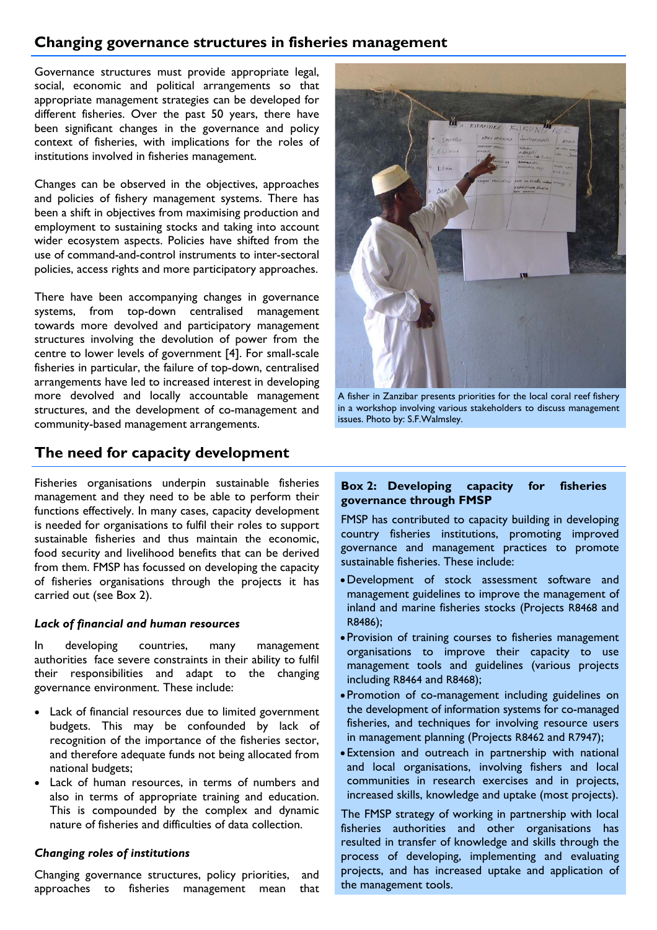# **Changing governance structures in fisheries management**

Governance structures must provide appropriate legal, social, economic and political arrangements so that appropriate management strategies can be developed for different fisheries. Over the past 50 years, there have been significant changes in the governance and policy context of fisheries, with implications for the roles of institutions involved in fisheries management.

Changes can be observed in the objectives, approaches and policies of fishery management systems. There has been a shift in objectives from maximising production and employment to sustaining stocks and taking into account wider ecosystem aspects. Policies have shifted from the use of command-and-control instruments to inter-sectoral policies, access rights and more participatory approaches.

There have been accompanying changes in governance systems, from top-down centralised management towards more devolved and participatory management structures involving the devolution of power from the centre to lower levels of government [4]. For small-scale fisheries in particular, the failure of top-down, centralised arrangements have led to increased interest in developing more devolved and locally accountable management structures, and the development of co-management and community-based management arrangements.

# **The need for capacity development**

Fisheries organisations underpin sustainable fisheries management and they need to be able to perform their functions effectively. In many cases, capacity development is needed for organisations to fulfil their roles to support sustainable fisheries and thus maintain the economic, food security and livelihood benefits that can be derived from them. FMSP has focussed on developing the capacity of fisheries organisations through the projects it has carried out (see Box 2).

## *Lack of financial and human resources*

In developing countries, many management authorities face severe constraints in their ability to fulfil their responsibilities and adapt to the changing governance environment. These include:

- Lack of financial resources due to limited government budgets. This may be confounded by lack of recognition of the importance of the fisheries sector, and therefore adequate funds not being allocated from national budgets;
- Lack of human resources, in terms of numbers and also in terms of appropriate training and education. This is compounded by the complex and dynamic nature of fisheries and difficulties of data collection.

## *Changing roles of institutions*

Changing governance structures, policy priorities, and approaches to fisheries management mean that

# **Box 2: Developing capacity for fisheries governance through FMSP**

in a workshop involving various stakeholders to discuss management

issues. Photo by: S.F.Walmsley.

FMSP has contributed to capacity building in developing country fisheries institutions, promoting improved governance and management practices to promote sustainable fisheries. These include:

- Development of stock assessment software and management guidelines to improve the management of inland and marine fisheries stocks (Projects R8468 and R8486);
- Provision of training courses to fisheries management organisations to improve their capacity to use management tools and guidelines (various projects including R8464 and R8468);
- Promotion of co-management including guidelines on the development of information systems for co-managed fisheries, and techniques for involving resource users in management planning (Projects R8462 and R7947);
- Extension and outreach in partnership with national and local organisations, involving fishers and local communities in research exercises and in projects, increased skills, knowledge and uptake (most projects).

The FMSP strategy of working in partnership with local fisheries authorities and other organisations has resulted in transfer of knowledge and skills through the process of developing, implementing and evaluating projects, and has increased uptake and application of the management tools.